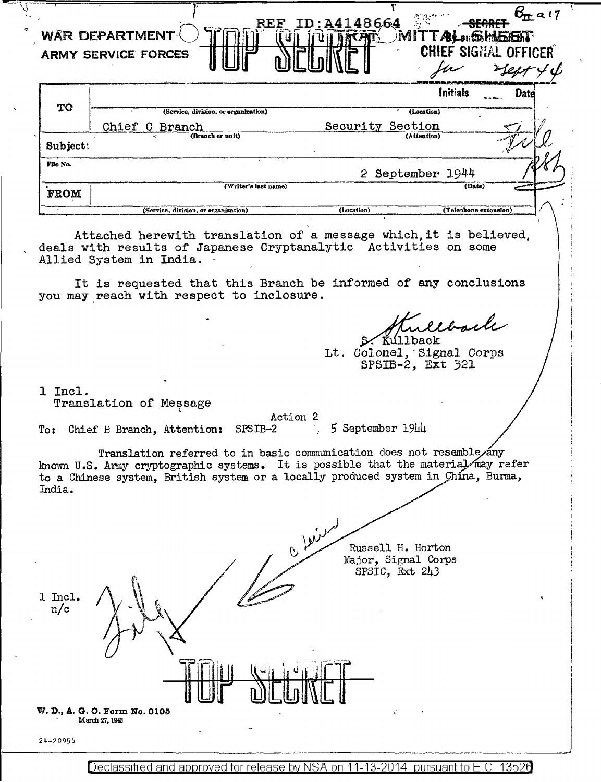|                | 56.E<br><b>WAR DEPARTMENT</b><br><b>ARMY SERVICE FORCES</b>                                                                                                                                                                                                                    | A4148664                         | MITTAL <sub>311</sub> 65HAGER<br><b>CHIEF SIGNAL OFFICER</b>         | $b_{\text{II}}$ ail |
|----------------|--------------------------------------------------------------------------------------------------------------------------------------------------------------------------------------------------------------------------------------------------------------------------------|----------------------------------|----------------------------------------------------------------------|---------------------|
| <b>TO</b>      |                                                                                                                                                                                                                                                                                |                                  | Initials                                                             | Date                |
|                | (Service, division, or organization)<br>Chief C Branch                                                                                                                                                                                                                         | Security Section                 | (Location)<br>(Attention)                                            |                     |
| Subject:       | (Branch or unit)                                                                                                                                                                                                                                                               |                                  |                                                                      |                     |
| File No.       |                                                                                                                                                                                                                                                                                |                                  | 2 September 1944                                                     |                     |
| <b>FROM</b>    | (Writer's last name)                                                                                                                                                                                                                                                           |                                  | (Date)                                                               |                     |
|                | (Service, division, or organization)                                                                                                                                                                                                                                           | (Location)                       | (Telephone extension)                                                |                     |
|                | Attached herewith translation of a message which, it is believed,<br>deals with results of Japanese Cryptanalytic Activities on some<br>Allied System in India.<br>It is requested that this Branch be informed of any conclusions<br>you may reach with respect to inclosure. |                                  |                                                                      |                     |
|                |                                                                                                                                                                                                                                                                                |                                  | ullback<br>Kullback<br>Lt. Colonel, Signal Corps<br>SPSIB-2, Ext 321 |                     |
| 1 Incl.        | Translation of Message<br>SPSIB-2<br>To: Chief B Branch, Attention:                                                                                                                                                                                                            | Action 2<br>$5$ September $1944$ |                                                                      |                     |
| India.         | Translation referred to in basic communication does not resemble/any<br>known U.S. Army cryptographic systems. It is possible that the material may refer<br>to a Chinese system, British system or a locally produced system in China, Burma,                                 |                                  |                                                                      |                     |
|                |                                                                                                                                                                                                                                                                                | C Leien                          | Russell H. Horton<br>Major, Signal Corps<br>SPSIC, Ext 243           |                     |
| 1 Incl.<br>n/c |                                                                                                                                                                                                                                                                                |                                  |                                                                      |                     |
|                | W. D., A. G. O. Form No. 0105                                                                                                                                                                                                                                                  |                                  |                                                                      |                     |
| $24 - 20956$   | March 27, 1943                                                                                                                                                                                                                                                                 |                                  |                                                                      |                     |

Declassified and approved for release by NSA on 11-13-2014 pursuant to E.O. 13526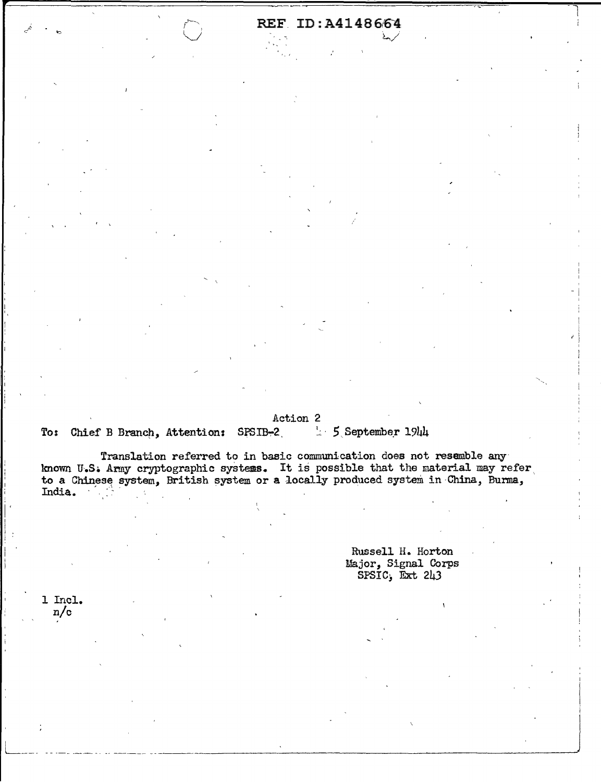# REF. ID: A4148664

#### Action 2

 $\sim$  5 September 1944 To: Chief B Branch, Attention: SPSIB-2

Translation referred to in basic communication does not resemble any known U.S. Army cryptographic systems. It is possible that the material may refer to a Chinese system, British system or a locally produced system in China, Burma, India.

> Russell H. Horton Major, Signal Corps  $SPSIC$ ,  $\overline{Ext}$  243

1 Incl.  $n/c$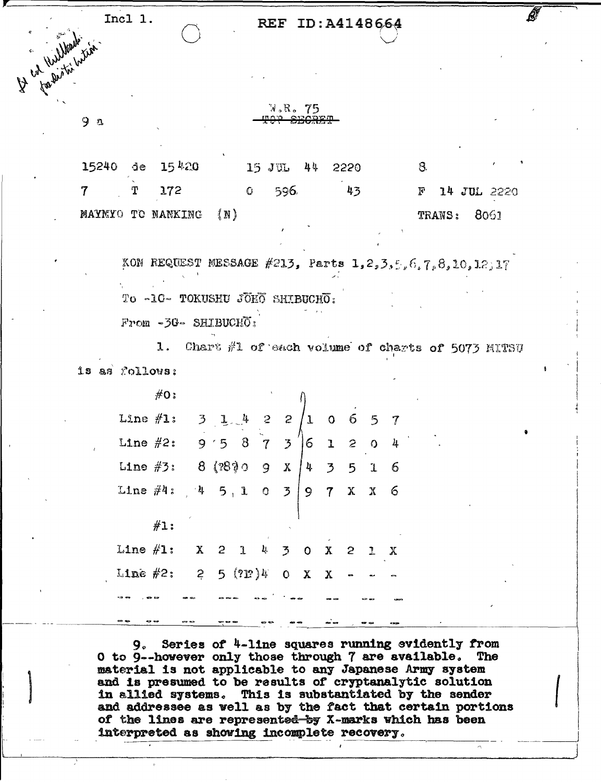Incl 1. Ly Cat Williams in the

 $9a$ 

### REF ID: A4148664

W.R. 75 SECRET

 $15240$  de  $15$ <sup>420</sup> 15 JUL 44 8. 2220 7 172  $\mathbf{C}$ 596. 43 14 JUL 2220 Т  $\mathbf{F}$  $(N)$ MAYMYO TO NANKING 8061 **TRANS:** 

KON REQUEST MESSAGE #213, Parts 1,2,3,5,6,7,8,10,12,17 To -10- TOKUSHU JOHO SHIBUCHO:

 $F$ rom -3G- SHIBUCH $\overline{O}$ :

1. Chart #1 of each volume of charts of 5073 MITSU  $15$  as  $\sqrt{3}$   $\sqrt{2}$ 

 $\#O$ :  $1, 4, 2, 2$ Line  $\#1:$  $\overline{3}$  $\mathbf{I}$ 6  $\overline{O}$  $5 \,$ 7  $9.5873$ Line  $#2:$  $6 \mathbf{1}$  $\mathbf{c}$  $8$  (2830 9  $x/4$ Line  $#3:$  $\overline{3}$ 5 6  $\mathbf 1$ Line  $\#4:$  4  $5, 1, 0, 3$  | 9 7 6  $\mathbf{X}$  $X$  $#1:$ Line  $\#1:$  X 2  $\mathbf{J}$ Ų.  $\overline{3}$  $\mathbf{x}$  $\mathbf{O}$  $2 \t1 \tX$  $Line$  #2:  $\mathbf{2}$  $5(2P)y$  $\mathbf x$  $\mathbf{O}$ 

9. Series of 4-line squares running evidently from O to 9--however only those through 7 are available. The material is not applicable to any Japanese Army system and is presumed to be results of cryptanalytic solution in allied systems. This is substantiated by the sender and addressee as well as by the fact that certain portions of the lines are represent<del>ed by</del> X-marks which has been interpreted as showing incomplete recovery.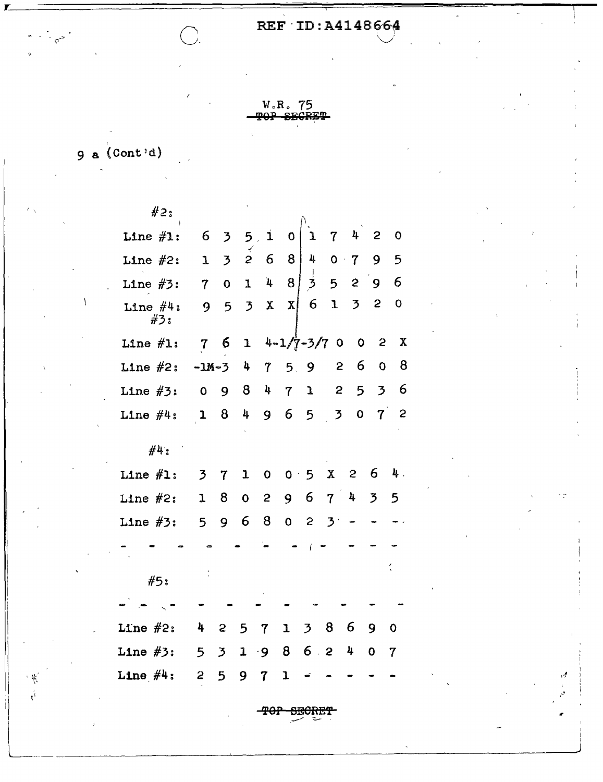## REF ID: A4148664

W.R. 75 TOP SECRET

 $9$  a  $(Cont<sup>1</sup>d)$ 

 $\frac{7}{3}$ 

 $#2:$  $6<sub>5</sub>$ Line  $#1$ :  $5.1$  $\mathbf 0$  $\overline{7}$ 4  $\mathbf{2}$  $\mathbf 0$  $\mathbf 1$  $\overline{3}$  $2\quad 6$ 8  $\frac{1}{2}$ 5 Line  $#2:$  $\mathbf{1}$  $0 +$  $\overline{7}$ 9  $\overline{8}$  $\overrightarrow{2}$ 6  $\overline{O}$  $\mathbf{1}$  $\mathbf{4}$ 5  $\mathbf{2}$ Line  $#3:$  $7<sup>7</sup>$ 9  $\overline{3}$ 6  $\mathbf{1}$  $\overline{3}$  $\mathbf{2}$  $\mathbf 0$  $\mathbf{x}$  $\mathbf{x}$  $5<sup>5</sup>$ Line  $#4:$ 9  $#3:$  $4 - 1/7 - 3/7$  0 Line  $#1:$  $6^{\circ}$  $\overline{2}$  $\mathbf x$  $7\phantom{.}$  $\mathbf{I}$  $\overline{0}$ 8 Line  $#2:$  $-M-3$ 4  $5<sub>1</sub>$ 9  $\mathbf{z}$ 6  $\overline{O}$  $\boldsymbol{7}$ 6 Line  $#3:$ 8 4  $\mathbf{2}$ 5  $\mathbf{3}$  $\mathbf{O}$ 9  $\overline{7}$  $\mathbf{I}$ Line  $#4:$ 8  $\frac{1}{2}$ 9 6 5  $\overline{3}$  $\mathbf{O}$  $\overline{7}$  $\mathbf{c}$  $\mathbf{1}$  $#4:$ Line  $#1:$ 6 4.  $\overline{3}$  $\overline{7}$  $\mathbf{I}$  $0.5$  $\mathbf X$  $\mathbf{c}$  $\mathbf 0$ 6  $\overline{3}$ Line  $#2:$ 8  $\overline{c}$  $\overline{7}$ 4 5  $\mathbf{I}$  $\mathbf 0$ 9 Line  $#3:$  $5<sup>1</sup>$ 9  $6\overline{6}$ 8  $\mathbf{o}$  $\mathbf{c}$  $\overline{\mathbf{3}}$  $#5:$ Line  $#2:$ 6 4  $\mathbf{1}$  $38$  $\mathbf{S}$ 5  $\overline{7}$ 9  $\mathbf 0$ Line  $#3$ :  $\overline{3}$ 8  $6<sub>2</sub>$ 4  $5<sup>1</sup>$  $\mathbf 1$  $\cdot$  9  $\mathbf 0$  $\overline{7}$ Line  $#4:$  $2<sup>1</sup>$  $5\overline{)}$ 9 7 1

<del>TOP SECRET</del>